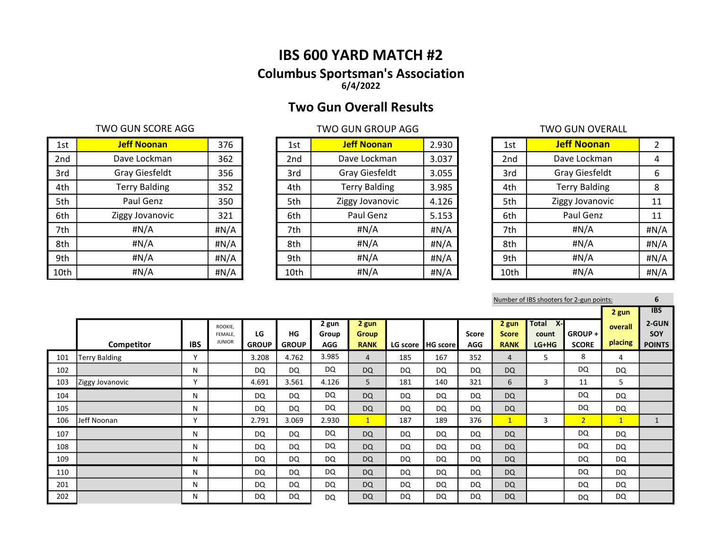# IBS 600 YARD MATCH #2 Columbus Sportsman's Association 6/4/2022

# Two Gun Overall Results

### TWO GUN SCORE AGG TWO GUN GROUP AGG TWO GUN GROUP AGG

| 1st  | <b>Jeff Noonan</b>    | 376  | 1st  | <b>Jeff Noonan</b>   | 2.930 | 1st             | <b>Jeff Noonan</b>    |         |
|------|-----------------------|------|------|----------------------|-------|-----------------|-----------------------|---------|
| 2nd  | Dave Lockman          | 362  | 2nd  | Dave Lockman         | 3.037 | 2 <sub>nd</sub> | Dave Lockman          | 4       |
| 3rd  | <b>Gray Giesfeldt</b> | 356  | 3rd  | Gray Giesfeldt       | 3.055 | 3rd             | <b>Gray Giesfeldt</b> | 6       |
| 4th  | <b>Terry Balding</b>  | 352  | 4th  | <b>Terry Balding</b> | 3.985 | 4th             | <b>Terry Balding</b>  | 8       |
| 5th  | Paul Genz             | 350  | 5th  | Ziggy Jovanovic      | 4.126 | 5th             | Ziggy Jovanovic       | 11      |
| 6th  | Ziggy Jovanovic       | 321  | 6th  | Paul Genz            | 5.153 | 6th             | Paul Genz             | 11      |
| 7th  | #N/A                  | #N/A | 7th  | #N/A                 | #N/A  | 7th             | #N/A                  | $\#N/A$ |
| 8th  | #N/A                  | #N/A | 8th  | #N/A                 | #N/A  | 8th             | #N/A                  | $\#N/A$ |
| 9th  | #N/A                  | #N/A | 9th  | #N/A                 | #N/A  | 9th             | #N/A                  | #N/A    |
| 10th | #N/A                  | #N/A | 10th | #N/A                 | #N/A  | 10th            | #N/A                  | H N/A   |

| 1st             | <b>Jeff Noonan</b>    | 2.930 |
|-----------------|-----------------------|-------|
| 2 <sub>nd</sub> | Dave Lockman          | 3.037 |
| 3rd             | <b>Gray Giesfeldt</b> | 3.055 |
| 4th             | <b>Terry Balding</b>  | 3.985 |
| 5th             | Ziggy Jovanovic       | 4.126 |
| 6th             | Paul Genz             | 5.153 |
| 7th             | #N/A                  | #N/A  |
| 8th             | #N/A                  | #N/A  |
| 9th             | #N/A                  | #N/A  |
| 10th            | #N/A                  | #N/A  |

| 1st             | <b>Jeff Noonan</b>    | 2    |
|-----------------|-----------------------|------|
| 2 <sub>nd</sub> | Dave Lockman          | 4    |
| 3rd             | <b>Gray Giesfeldt</b> | 6    |
| 4th             | <b>Terry Balding</b>  | 8    |
| 5th             | Ziggy Jovanovic       | 11   |
| 6th             | Paul Genz             | 11   |
| 7th             | #N/A                  | #N/A |
| 8th             | #N/A                  | #N/A |
| 9th             | #N/A                  | #N/A |
| 10th            | #N/A                  | #N/A |

Number of IBS shooters for 2-gun points: 6

|     |                      |              |                                     |                    |                    |                              |                                      |     |                     |                     |                                      |                              |                           |                    | <b>IBS</b>                    |
|-----|----------------------|--------------|-------------------------------------|--------------------|--------------------|------------------------------|--------------------------------------|-----|---------------------|---------------------|--------------------------------------|------------------------------|---------------------------|--------------------|-------------------------------|
|     | Competitor           | <b>IBS</b>   | ROOKIE,<br>FEMALE.<br><b>JUNIOR</b> | LG<br><b>GROUP</b> | HG<br><b>GROUP</b> | 2 gun<br>Group<br><b>AGG</b> | 2 gun<br><b>Group</b><br><b>RANK</b> |     | LG score   HG score | Score<br><b>AGG</b> | 2 gun<br><b>Score</b><br><b>RANK</b> | Total X-<br>count<br>$LG+HG$ | GROUP + I<br><b>SCORE</b> | overall<br>placing | 2-GUN<br>SOY<br><b>POINTS</b> |
| 101 | <b>Terry Balding</b> | $\mathbf v$  |                                     | 3.208              | 4.762              | 3.985                        | 4                                    | 185 | 167                 | 352                 | $\overline{4}$                       | 5                            | 8                         | 4                  |                               |
| 102 |                      | N            |                                     | <b>DQ</b>          | DQ                 | <b>DQ</b>                    | <b>DQ</b>                            | DQ  | DQ                  | <b>DQ</b>           | <b>DQ</b>                            |                              | <b>DQ</b>                 | DQ                 |                               |
| 103 | Ziggy Jovanovic      | $\mathbf{v}$ |                                     | 4.691              | 3.561              | 4.126                        | 5                                    | 181 | 140                 | 321                 | 6                                    | 3                            | 11                        | 5                  |                               |
| 104 |                      | N            |                                     | DQ                 | <sub>DQ</sub>      | DQ                           | <b>DQ</b>                            | DQ  | DQ                  | DQ                  | <b>DQ</b>                            |                              | <b>DQ</b>                 | <b>DQ</b>          |                               |
| 105 |                      | N            |                                     | DQ                 | <b>DQ</b>          | DQ                           | <b>DQ</b>                            | DQ  | DQ                  | <b>DQ</b>           | <b>DQ</b>                            |                              | <b>DQ</b>                 | DQ                 |                               |
| 106 | Jeff Noonan          | $\checkmark$ |                                     | 2.791              | 3.069              | 2.930                        | $\mathbf{1}$                         | 187 | 189                 | 376                 | $\mathbf{1}$                         | 3                            | 2 <sup>1</sup>            | $\mathbf{1}$       |                               |
| 107 |                      | N            |                                     | DQ                 | DQ                 | DQ                           | <b>DQ</b>                            | DQ  | DQ                  | DQ                  | <b>DQ</b>                            |                              | <b>DQ</b>                 | <b>DQ</b>          |                               |
| 108 |                      | N            |                                     | <b>DQ</b>          | DQ                 | DQ                           | <b>DQ</b>                            | DQ  | <b>DQ</b>           | <b>DQ</b>           | <b>DQ</b>                            |                              | <b>DQ</b>                 | <b>DQ</b>          |                               |
| 109 |                      | N            |                                     | <b>DQ</b>          | DQ                 | <b>DQ</b>                    | <b>DQ</b>                            | DQ  | DQ                  | DQ                  | <b>DQ</b>                            |                              | DQ                        | <b>DQ</b>          |                               |
| 110 |                      | N            |                                     | DQ                 | <b>DQ</b>          | <b>DQ</b>                    | <b>DQ</b>                            | DQ  | DQ                  | <b>DQ</b>           | <b>DQ</b>                            |                              | <b>DQ</b>                 | <b>DQ</b>          |                               |
| 201 |                      | N            |                                     | <b>DQ</b>          | DQ                 | DQ                           | <b>DQ</b>                            | DQ  | DQ                  | <b>DQ</b>           | <b>DQ</b>                            |                              | <b>DQ</b>                 | <b>DQ</b>          |                               |
| 202 |                      | N            |                                     | DQ                 | DQ                 | DQ                           | <b>DQ</b>                            | DQ  | <b>DQ</b>           | DQ                  | <b>DQ</b>                            |                              | DQ                        | DQ                 |                               |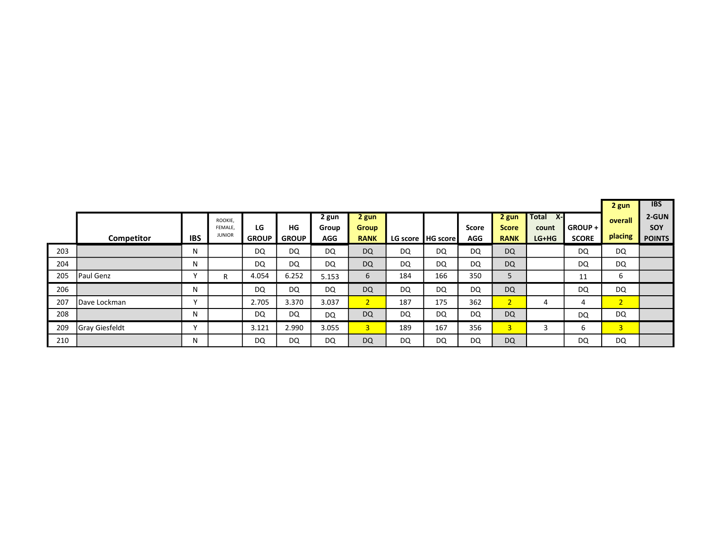|     |                       |                |                                     |                    |                    |                              |                                      |     |                     |                     |                                      |                                           |                           |                    | <b>IBS</b>                           |
|-----|-----------------------|----------------|-------------------------------------|--------------------|--------------------|------------------------------|--------------------------------------|-----|---------------------|---------------------|--------------------------------------|-------------------------------------------|---------------------------|--------------------|--------------------------------------|
|     | Competitor            | <b>IBS</b>     | ROOKIE,<br>FEMALE.<br><b>JUNIOR</b> | LG<br><b>GROUP</b> | HG<br><b>GROUP</b> | 2 gun<br>Group<br><b>AGG</b> | 2 gun<br><b>Group</b><br><b>RANK</b> |     | LG score   HG score | <b>Score</b><br>AGG | 2 gun<br><b>Score</b><br><b>RANK</b> | <b>Total</b><br>$X -$<br>count<br>$LG+HG$ | GROUP + I<br><b>SCORE</b> | overall<br>placing | 2-GUN<br><b>SOY</b><br><b>POINTS</b> |
| 203 |                       | N              |                                     | DQ                 | DQ                 | DQ                           | <b>DQ</b>                            | DQ  | DQ                  | DQ                  | <b>DQ</b>                            |                                           | DQ                        | <b>DQ</b>          |                                      |
| 204 |                       | N              |                                     | DQ                 | DQ                 | DQ                           | <b>DQ</b>                            | DQ  | DQ                  | DQ                  | <b>DQ</b>                            |                                           | DQ                        | <b>DQ</b>          |                                      |
| 205 | <b>Paul Genz</b>      |                | R                                   | 4.054              | 6.252              | 5.153                        | 6                                    | 184 | 166                 | 350                 | 5                                    |                                           | 11                        | 6                  |                                      |
| 206 |                       | N              |                                     | DQ                 | DQ                 | DQ                           | <b>DQ</b>                            | DQ  | DQ                  | DQ                  | <b>DQ</b>                            |                                           | DQ                        | DQ                 |                                      |
| 207 | IDave Lockman         | $\lambda$      |                                     | 2.705              | 3.370              | 3.037                        | 2 <sup>1</sup>                       | 187 | 175                 | 362                 | 2 <sup>1</sup>                       | 4                                         | 4                         | 2 <sup>1</sup>     |                                      |
| 208 |                       | N              |                                     | <b>DQ</b>          | DQ                 | DQ                           | <b>DQ</b>                            | DQ  | DQ                  | DQ                  | <b>DQ</b>                            |                                           | DQ                        | DQ                 |                                      |
| 209 | <b>Gray Giesfeldt</b> | $\overline{ }$ |                                     | 3.121              | 2.990              | 3.055                        | 3                                    | 189 | 167                 | 356                 | 3 <sup>1</sup>                       | 3                                         | 6                         | $\overline{3}$     |                                      |
| 210 |                       | N              |                                     | DQ                 | DQ                 | DQ                           | <b>DQ</b>                            | DQ  | DQ                  | DQ                  | <b>DQ</b>                            |                                           | DQ                        | DQ                 |                                      |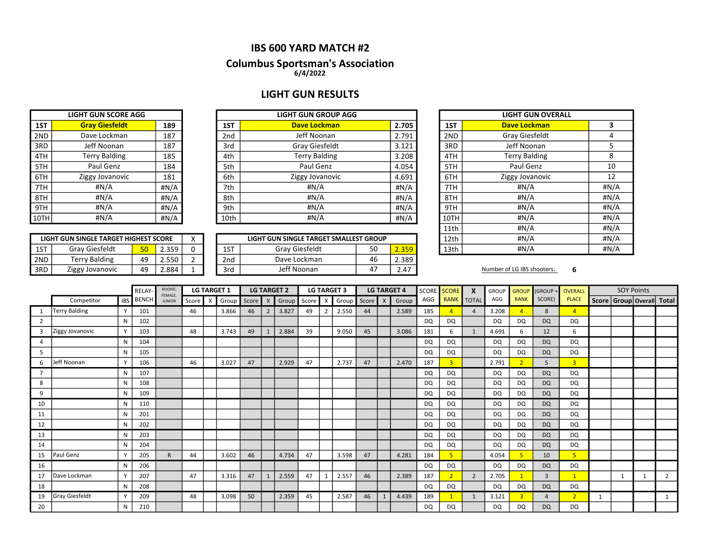# IBS 600 YARD MATCH #2

# Columbus Sportsman's Association

6/4/2022

# LIGHT GUN RESULTS

|     | <b>LIGHT GUN SCORE AGG</b> |      |  |  |  |  |  |  |  |  |
|-----|----------------------------|------|--|--|--|--|--|--|--|--|
| 1ST | <b>Gray Giesfeldt</b>      | 189  |  |  |  |  |  |  |  |  |
| 2ND | Dave Lockman               | 187  |  |  |  |  |  |  |  |  |
| 3RD | Jeff Noonan                | 187  |  |  |  |  |  |  |  |  |
| 4TH | <b>Terry Balding</b>       | 185  |  |  |  |  |  |  |  |  |
| 5TH | Paul Genz                  | 184  |  |  |  |  |  |  |  |  |
| 6TH | Ziggy Jovanovic            | 181  |  |  |  |  |  |  |  |  |
| 7TH | #N/A                       | #N/A |  |  |  |  |  |  |  |  |
| 8TH | #N/A                       | #N/A |  |  |  |  |  |  |  |  |
| 9TH | #N/A                       | #N/A |  |  |  |  |  |  |  |  |
|     | #N/A                       | #N/A |  |  |  |  |  |  |  |  |

LIGHT GUN SINGLE TARGET HIGHEST SCORE

|      | <b>LIGHT GUN SCORE AGG</b> |      |                 | <b>LIGHT GUN GROUP AGG</b> |       | <b>LIGHT GUI</b> |                    |
|------|----------------------------|------|-----------------|----------------------------|-------|------------------|--------------------|
| 1ST  | <b>Gray Giesfeldt</b>      | 189  | 1ST             | <b>Dave Lockman</b>        | 2.705 | 1ST              | <b>Dave Lock</b>   |
| 2ND  | Dave Lockman               | 187  | 2 <sub>nd</sub> | Jeff Noonan                | 2.791 | 2ND              | <b>Gray Giest</b>  |
| 3RD  | Jeff Noonan                | 187  | 3rd             | Gray Giesfeldt             | 3.121 | 3RD              | Jeff Noor          |
| 4TH  | Terry Balding              | 185  | 4th             | <b>Terry Balding</b>       | 3.208 | 4TH              | <b>Terry Bald</b>  |
| 5TH  | Paul Genz                  | 184  | 5th             | Paul Genz                  | 4.054 | 5TH              | Paul Ge            |
| 6TH  | Ziggy Jovanovic            | 181  | 6th             | Ziggy Jovanovic            | 4.691 | 6TH              | <b>Ziggy Jovar</b> |
| 7TH  | #N/A                       | #N/A | 7th             | #N/A                       | #N/A  | 7TH              | #N/A               |
| 8TH  | #N/A                       | #N/A | 8th             | # $N/A$                    | #N/A  | 8TH              | #N/A               |
| 9TH  | #N/A                       | #N/A | 9th             | #N/A                       | #N/A  | 9TH              | #N/A               |
| 10TH | #N/A                       | #N/A | 10th            | #N/A                       | #N/A  | 10TH             | #N/A               |
|      |                            |      |                 |                            |       |                  |                    |

|     | LIGHT GUN SINGLE TARGET HIGHEST SCORE |                      |       |  |           | LIGHT GUN SINGLE TARGET SMALLEST GROUP |    |       | 12th | #N/A                       |  |
|-----|---------------------------------------|----------------------|-------|--|-----------|----------------------------------------|----|-------|------|----------------------------|--|
| 1ST | Grav Giesfeldt                        | E <sub>O</sub><br>JU | 2.359 |  | $-$<br>⊥⊃ | Grav Giesfeldt                         | 50 | 2.359 | 13th | #N/A                       |  |
| 2ND | Terry Balding                         | 49                   | 2.550 |  | 2nd       | Dave Lockman                           | 46 | 2.389 |      |                            |  |
| 3RD | Ziggy Jovanovic                       | 49                   | 2.884 |  | 3ra       | Jeff Noonan                            |    | 2.4   |      | Number of LG IBS shooters: |  |

| LIGHT GUN GROUP AGG            |  |       |                         | <b>LIGHT GUN OVERALL</b> |      |  |  |
|--------------------------------|--|-------|-------------------------|--------------------------|------|--|--|
| <b>Dave Lockman</b>            |  | 2.705 | 1ST                     | <b>Dave Lockman</b>      | 3    |  |  |
| Jeff Noonan                    |  | 2.791 | 2ND                     | Gray Giesfeldt           | 4    |  |  |
| Gray Giesfeldt                 |  | 3.121 | 3RD                     | Jeff Noonan              | 5    |  |  |
| <b>Terry Balding</b>           |  | 3.208 | 4TH                     | <b>Terry Balding</b>     | 8    |  |  |
| Paul Genz                      |  | 4.054 | 5TH                     | Paul Genz                | 10   |  |  |
| Ziggy Jovanovic                |  | 4.691 | 6TH                     | Ziggy Jovanovic          | 12   |  |  |
| #N/A                           |  | #N/A  | 7TH                     | #N/A                     | #N/A |  |  |
| #N/A                           |  | #N/A  | 8TH                     | #N/A                     | #N/A |  |  |
| #N/A                           |  | #N/A  | 9TH                     | #N/A                     | #N/A |  |  |
| #N/A                           |  | #N/A  | 10TH                    | #N/A                     | #N/A |  |  |
|                                |  |       | 11th                    | #N/A                     | #N/A |  |  |
| N SINGLE TARGET SMALLEST GROUP |  |       | 12th                    | #N/A                     | #N/A |  |  |
| Gray Giesfeldt<br>50<br>2.359  |  |       | # $N/A$<br>#N/A<br>13th |                          |      |  |  |
|                                |  |       |                         |                          |      |  |  |

|                |                       |              | <b>RELAY</b> | ROOKIE,<br>FEMALE, |       |                           | <b>LG TARGET 1</b> |    |   | <b>LG TARGET 2</b> |    | <b>LG TARGET 3</b> |    |   | <b>LG TARGET 4</b> | <b>SCORE</b> | <b>SCORE</b>   | X                 | <b>GROUP</b> | <b>GROUP</b>   | (GROUP+        | <b>OVERALL</b> |   | <b>SOY Points</b> |                                 |
|----------------|-----------------------|--------------|--------------|--------------------|-------|---------------------------|--------------------|----|---|--------------------|----|--------------------|----|---|--------------------|--------------|----------------|-------------------|--------------|----------------|----------------|----------------|---|-------------------|---------------------------------|
|                | Competitor            | <b>IBS</b>   | <b>BENCH</b> | <b>JUNIOR</b>      | Score | $\boldsymbol{\mathsf{x}}$ | Group Score X      |    |   | Group Score        |    | Group Score        |    | X | Group              | AGG          |                | <b>RANK TOTAL</b> | AGG          | <b>RANK</b>    | SCORE)         | <b>PLACE</b>   |   |                   | Score   Group   Overall   Total |
|                | <b>Terry Balding</b>  | $\checkmark$ | 101          |                    | 46    |                           | 3.866              | 46 | 2 | 3.827              | 49 | 2.550              | 44 |   | 2.589              | 185          |                | $\overline{a}$    | 3.208        | 4              | 8              | $\overline{4}$ |   |                   |                                 |
| $\overline{2}$ |                       | N            | 102          |                    |       |                           |                    |    |   |                    |    |                    |    |   |                    | DQ           | DQ             |                   | DQ           | <b>DQ</b>      | <b>DQ</b>      | DQ             |   |                   |                                 |
| 3              | Ziggy Jovanovic       | $\mathbf v$  | 103          |                    | 48    |                           | 3.743              | 49 |   | 2.884              | 39 | 9.050              | 45 |   | 3.086              | 181          | 6              | $\mathbf{1}$      | 4.691        | 6              | 12             | 6              |   |                   |                                 |
| 4              |                       | N            | 104          |                    |       |                           |                    |    |   |                    |    |                    |    |   |                    | DQ           | DQ             |                   | DQ           | DQ             | <b>DQ</b>      | DQ             |   |                   |                                 |
| 5              |                       | N            | 105          |                    |       |                           |                    |    |   |                    |    |                    |    |   |                    | DQ           | DQ             |                   | DQ           | <b>DQ</b>      | <b>DQ</b>      | <b>DQ</b>      |   |                   |                                 |
| 6              | Jeff Noonan           | $\checkmark$ | 106          |                    | 46    |                           | 3.027              | 47 |   | 2.929              | 47 | 2.737              | 47 |   | 2.470              | 187          | $\overline{3}$ |                   | 2.791        |                | 5              | $\overline{3}$ |   |                   |                                 |
| $\overline{7}$ |                       | N            | 107          |                    |       |                           |                    |    |   |                    |    |                    |    |   |                    | DQ           | DQ             |                   | DQ           | DQ             | <b>DQ</b>      | DQ             |   |                   |                                 |
| 8              |                       | N            | 108          |                    |       |                           |                    |    |   |                    |    |                    |    |   |                    | DQ           | DQ             |                   | DQ           | <b>DQ</b>      | <b>DQ</b>      | DQ             |   |                   |                                 |
| 9              |                       | N            | 109          |                    |       |                           |                    |    |   |                    |    |                    |    |   |                    | DQ           | DQ             |                   | DQ           | DQ             | <b>DQ</b>      | DQ             |   |                   |                                 |
| 10             |                       | N            | 110          |                    |       |                           |                    |    |   |                    |    |                    |    |   |                    | DQ           | DQ             |                   | <b>DQ</b>    | DQ             | <b>DQ</b>      | DQ             |   |                   |                                 |
| 11             |                       | N            | 201          |                    |       |                           |                    |    |   |                    |    |                    |    |   |                    | DQ           | DQ             |                   | DQ           | <b>DQ</b>      | <b>DQ</b>      | DQ             |   |                   |                                 |
| 12             |                       | N            | 202          |                    |       |                           |                    |    |   |                    |    |                    |    |   |                    | <b>DQ</b>    | DQ             |                   | DQ           | DQ             | <b>DQ</b>      | <b>DQ</b>      |   |                   |                                 |
| 13             |                       | N            | 203          |                    |       |                           |                    |    |   |                    |    |                    |    |   |                    | DQ           | DQ             |                   | DQ           | DQ             | <b>DQ</b>      | DQ             |   |                   |                                 |
| 14             |                       | N            | 204          |                    |       |                           |                    |    |   |                    |    |                    |    |   |                    | DQ           | DQ             |                   | DQ           | <b>DQ</b>      | <b>DQ</b>      | DQ             |   |                   |                                 |
| 15             | Paul Genz             | $\checkmark$ | 205          | $\mathsf{R}$       | 44    |                           | 3.602              | 46 |   | 4.734              | 47 | 3.598              | 47 |   | 4.281              | 184          |                |                   | 4.054        | $\overline{5}$ | 10             | 5 <sup>1</sup> |   |                   |                                 |
| 16             |                       | N            | 206          |                    |       |                           |                    |    |   |                    |    |                    |    |   |                    | DQ           | DQ             |                   | DQ           | DQ             | <b>DQ</b>      | DQ             |   |                   |                                 |
| 17             | Dave Lockman          | $\mathsf{v}$ | 207          |                    | 47    |                           | 3.316              | 47 |   | 2.559              | 47 | 2.557              | 46 |   | 2.389              | 187          | $\overline{2}$ | $\overline{2}$    | 2.705        |                | $\mathbf{3}$   | $\overline{1}$ |   |                   | $\overline{2}$                  |
| 18             |                       | N            | 208          |                    |       |                           |                    |    |   |                    |    |                    |    |   |                    | <b>DQ</b>    | DQ             |                   | DQ           | <b>DQ</b>      | <b>DQ</b>      | <b>DQ</b>      |   |                   |                                 |
| 19             | <b>Gray Giesfeldt</b> |              | 209          |                    | 48    |                           | 3.098              | 50 |   | 2.359              | 45 | 2.587              | 46 |   | 4.439              | 189          |                | $\mathbf{1}$      | 3.121        | $\overline{3}$ | $\overline{4}$ | $\overline{2}$ | 1 |                   |                                 |
| 20             |                       | N            | 210          |                    |       |                           |                    |    |   |                    |    |                    |    |   |                    | DQ           | DQ             |                   | DQ           | DQ.            | <b>DQ</b>      | DQ             |   |                   |                                 |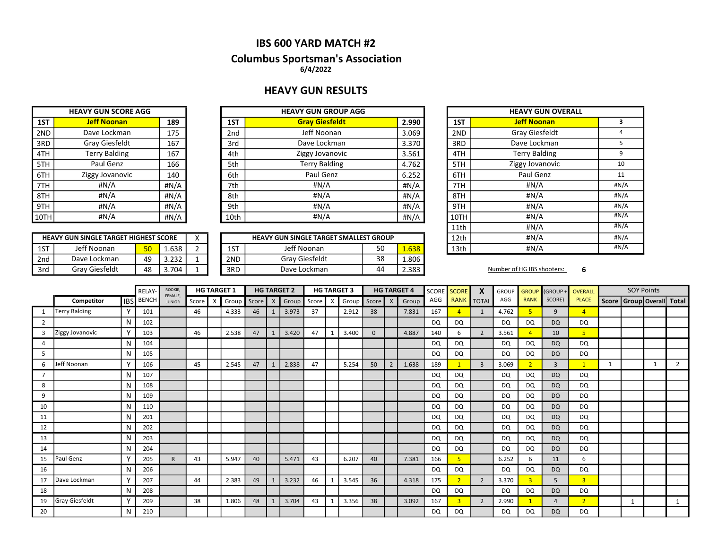### IBS 600 YARD MATCH #2

### Columbus Sportsman's Association 6/4/2022

### HEAVY GUN RESULTS

|     | <b>HEAVY GUN SCORE AGG</b> |      |  |  |  |  |  |  |  |  |
|-----|----------------------------|------|--|--|--|--|--|--|--|--|
| 1ST | <b>Jeff Noonan</b>         | 189  |  |  |  |  |  |  |  |  |
| 2ND | Dave Lockman               | 175  |  |  |  |  |  |  |  |  |
| 3RD | <b>Gray Giesfeldt</b>      | 167  |  |  |  |  |  |  |  |  |
| 4TH | <b>Terry Balding</b>       | 167  |  |  |  |  |  |  |  |  |
| 5TH | Paul Genz                  | 166  |  |  |  |  |  |  |  |  |
| 6TH | Ziggy Jovanovic            | 140  |  |  |  |  |  |  |  |  |
| 7TH | #N/A                       | #N/A |  |  |  |  |  |  |  |  |
| 8TH | #N/A                       | #N/A |  |  |  |  |  |  |  |  |
| 9TH | #N/A                       | #N/A |  |  |  |  |  |  |  |  |
|     | #N/A                       | #N/A |  |  |  |  |  |  |  |  |

|        | <b>HEAVY GUN SCORE AGG</b> |      |      |                       |       |      |
|--------|----------------------------|------|------|-----------------------|-------|------|
| 1ST    | <b>Jeff Noonan</b>         | 189  | 1ST  | <b>Gray Giesfeldt</b> | 2.990 | 1ST  |
| 2ND    | Dave Lockman               | 175  | 2nd  | Jeff Noonan           | 3.069 | 2ND  |
| 3RD    | Gray Giesfeldt             | 167  | 3rd  | Dave Lockman          | 3.370 | 3RD  |
| 4TH    | <b>Terry Balding</b>       | 167  | 4th  | Ziggy Jovanovic       | 3.561 | 4TH  |
| 5TH    | Paul Genz                  | 166  | 5th  | <b>Terry Balding</b>  | 4.762 | 5TH  |
| 6TH    | Ziggy Jovanovic            | 140  | 6th  | Paul Genz             | 6.252 | 6TH  |
| 7TH    | #N/A                       | #N/A | 7th  | #N/A                  | #N/A  | 7TH  |
| 8TH    | #N/A                       | #N/A | 8th  | #N/A                  | #N/A  | 8TH  |
| 9TH    | #N/A                       | #N/A | 9th  | #N/A                  | #N/A  | 9TH  |
| 10TH l | #N/A                       | #N/A | 10th | #N/A                  | #N/A  | 10TH |

|     | <b>HEAVY GUN SINGLE TARGET HIGHEST SCORE</b> |    |               |  |     | <b>HEAVY GUN SINGLE TARGET SMALLEST GROUP</b> |    |       | 12th | #N/A                       |  |
|-----|----------------------------------------------|----|---------------|--|-----|-----------------------------------------------|----|-------|------|----------------------------|--|
| 1ST | Jeff Noonan                                  | 50 | 1.638         |  | 1ST | Jeff Noonan                                   | 50 | 1.638 | 13th | #N/A                       |  |
| 2nd | Dave Lockman                                 | 49 | ววว<br>ے دے.د |  | 2ND | Grav Giesfeldt                                | 38 | 1.806 |      |                            |  |
| 3rd | Grav Giesfeldt                               | 48 | .704          |  | 3RD | Dave Lockman                                  | 44 | 2.383 |      | Number of HG IBS shooters: |  |

| <b>IEAVY GUN GROUP AGG</b>     |       |      | <b>HEAVY GUN OVERALL</b> |                      |      |  |  |  |  |  |
|--------------------------------|-------|------|--------------------------|----------------------|------|--|--|--|--|--|
| <b>Gray Giesfeldt</b>          | 2.990 | 1ST  |                          | <b>Jeff Noonan</b>   | 3    |  |  |  |  |  |
| Jeff Noonan                    | 3.069 | 2ND  |                          | Gray Giesfeldt       | 4    |  |  |  |  |  |
| Dave Lockman                   | 3.370 | 3RD  |                          | Dave Lockman         | 5    |  |  |  |  |  |
| Ziggy Jovanovic                | 3.561 | 4TH  |                          | <b>Terry Balding</b> | 9    |  |  |  |  |  |
| <b>Terry Balding</b>           | 4.762 | 5TH  |                          | Ziggy Jovanovic      | 10   |  |  |  |  |  |
| Paul Genz                      | 6.252 | 6TH  |                          | Paul Genz            | 11   |  |  |  |  |  |
| #N/A                           | #N/A  | 7TH  |                          | #N/A                 | #N/A |  |  |  |  |  |
| #N/A                           | #N/A  | 8TH  |                          | #N/A                 | #N/A |  |  |  |  |  |
| #N/A                           | #N/A  | 9TH  |                          | #N/A                 | #N/A |  |  |  |  |  |
| #N/A                           | #N/A  | 10TH |                          | #N/A                 | #N/A |  |  |  |  |  |
|                                | 11th  |      | #N/A                     | #N/A                 |      |  |  |  |  |  |
| N SINGLE TARGET SMALLEST GROUP |       | 12th |                          | #N/A                 | #N/A |  |  |  |  |  |
| Jeff Noonan                    | 13th  |      | #N/A                     | #N/A                 |      |  |  |  |  |  |
|                                |       |      |                          |                      |      |  |  |  |  |  |

|    |                      | RELAY-  | ROOKIE,<br>FEMALE, |               |       | <b>HG TARGET 1</b> |       |         | <b>HG TARGET 2</b> |       |       | <b>HG TARGET 3</b> |       |          | <b>HG TARGET 4</b> |       | SCORE SCORE | $\boldsymbol{\mathsf{x}}$ | <b>GROUP</b>   | <b>GROUP</b> | (GROUP         | OVERALL        |                |   | <b>SOY Points</b> |              |                                 |
|----|----------------------|---------|--------------------|---------------|-------|--------------------|-------|---------|--------------------|-------|-------|--------------------|-------|----------|--------------------|-------|-------------|---------------------------|----------------|--------------|----------------|----------------|----------------|---|-------------------|--------------|---------------------------------|
|    | Competitor           | l ibs l | <b>BENCH</b>       | <b>JUNIOR</b> | Score | X                  | Group | Score X |                    | Group | Score | $\times$           | Group | Score X  |                    | Group | AGG         |                           | RANK TOTAL     | AGG          | <b>RANK</b>    | SCORE)         | <b>PLACE</b>   |   |                   |              | Score   Group   Overall   Total |
| -1 | <b>Terry Balding</b> |         | 101                |               | 46    |                    | 4.333 | 46      |                    | 3.973 | 37    |                    | 2.912 | 38       |                    | 7.831 | 167         | 4                         | $\mathbf{1}$   | 4.762        |                | $\mathbf{q}$   | $\overline{4}$ |   |                   |              |                                 |
| 2  |                      | N       | 102                |               |       |                    |       |         |                    |       |       |                    |       |          |                    |       | DQ          | DQ                        |                | DQ           | DQ.            | <b>DQ</b>      | DQ             |   |                   |              |                                 |
| 3  | Ziggy Jovanovic      |         | 103                |               | 46    |                    | 2.538 | 47      |                    | 3.420 | 47    |                    | 3.400 | $\Omega$ |                    | 4.887 | 140         | 6                         | $\overline{2}$ | 3.561        |                | 10             | 5 <sup>2</sup> |   |                   |              |                                 |
| 4  |                      | N       | 104                |               |       |                    |       |         |                    |       |       |                    |       |          |                    |       | <b>DQ</b>   | DQ                        |                | DQ           | DQ             | <b>DQ</b>      | <b>DQ</b>      |   |                   |              |                                 |
| 5  |                      | N       | 105                |               |       |                    |       |         |                    |       |       |                    |       |          |                    |       | DQ          | DQ                        |                | DQ           | DQ.            | <b>DQ</b>      | DQ             |   |                   |              |                                 |
| 6  | Jeff Noonan          |         | 106                |               | 45    |                    | 2.545 | 47      |                    | 2.838 | 47    |                    | 5.254 | 50       | $\overline{2}$     | 1.638 | 189         |                           | $\overline{3}$ | 3.069        |                | $\overline{3}$ | $\mathbf{1}$   | 1 |                   | $\mathbf{1}$ | $\overline{2}$                  |
|    |                      | N       | 107                |               |       |                    |       |         |                    |       |       |                    |       |          |                    |       | DQ          | DQ                        |                | <b>DQ</b>    | DQ             | <b>DQ</b>      | DQ.            |   |                   |              |                                 |
| 8  |                      | N       | 108                |               |       |                    |       |         |                    |       |       |                    |       |          |                    |       | DQ          | DQ                        |                | DQ           | DQ.            | <b>DQ</b>      | DQ             |   |                   |              |                                 |
| 9  |                      | N       | 109                |               |       |                    |       |         |                    |       |       |                    |       |          |                    |       | DQ          | DQ                        |                | DQ           | <b>DQ</b>      | <b>DQ</b>      | DQ             |   |                   |              |                                 |
| 10 |                      | N       | 110                |               |       |                    |       |         |                    |       |       |                    |       |          |                    |       | DQ          | DQ                        |                | DQ           | <b>DQ</b>      | <b>DQ</b>      | DQ             |   |                   |              |                                 |
| 11 |                      | N       | 201                |               |       |                    |       |         |                    |       |       |                    |       |          |                    |       | <b>DQ</b>   | DQ                        |                | DQ           | DQ             | <b>DQ</b>      | <b>DQ</b>      |   |                   |              |                                 |
| 12 |                      | N       | 202                |               |       |                    |       |         |                    |       |       |                    |       |          |                    |       | DQ          | DQ                        |                | <b>DQ</b>    | DQ             | <b>DQ</b>      | <b>DQ</b>      |   |                   |              |                                 |
| 13 |                      | N       | 203                |               |       |                    |       |         |                    |       |       |                    |       |          |                    |       | DQ          | DQ                        |                | DQ           | DQ             | <b>DQ</b>      | DQ             |   |                   |              |                                 |
| 14 |                      | N       | 204                |               |       |                    |       |         |                    |       |       |                    |       |          |                    |       | DQ          | DQ                        |                | DQ           | DQ             | <b>DQ</b>      | DQ             |   |                   |              |                                 |
| 15 | Paul Genz            |         | 205                | $\mathsf{R}$  | 43    |                    | 5.947 | 40      |                    | 5.471 | 43    |                    | 6.207 | 40       |                    | 7.381 | 166         | 5                         |                | 6.252        | 6              | 11             | 6              |   |                   |              |                                 |
| 16 |                      | N       | 206                |               |       |                    |       |         |                    |       |       |                    |       |          |                    |       | DQ          | DQ                        |                | DQ.          | DQ             | <b>DQ</b>      | DQ             |   |                   |              |                                 |
| 17 | Dave Lockman         |         | 207                |               | 44    |                    | 2.383 | 49      |                    | 3.232 | 46    |                    | 3.545 | 36       |                    | 4.318 | 175         |                           | $\overline{2}$ | 3.370        | $\overline{3}$ | 5              | $\overline{3}$ |   |                   |              |                                 |
| 18 |                      | N       | 208                |               |       |                    |       |         |                    |       |       |                    |       |          |                    |       | <b>DQ</b>   | DQ                        |                | <b>DQ</b>    | DQ             | <b>DQ</b>      | DQ             |   |                   |              |                                 |
| 19 | Gray Giesfeldt       |         | 209                |               | 38    |                    | 1.806 | 48      | $\mathbf{1}$       | 3.704 | 43    |                    | 3.356 | 38       |                    | 3.092 | 167         | $\overline{3}$            | $\overline{2}$ | 2.990        |                | $\Delta$       | $\overline{2}$ |   | - 1               |              | 1                               |
| 20 |                      | N       | 210                |               |       |                    |       |         |                    |       |       |                    |       |          |                    |       | <b>DQ</b>   | <b>DQ</b>                 |                | DQ           | <b>DQ</b>      | <b>DQ</b>      | <b>DQ</b>      |   |                   |              |                                 |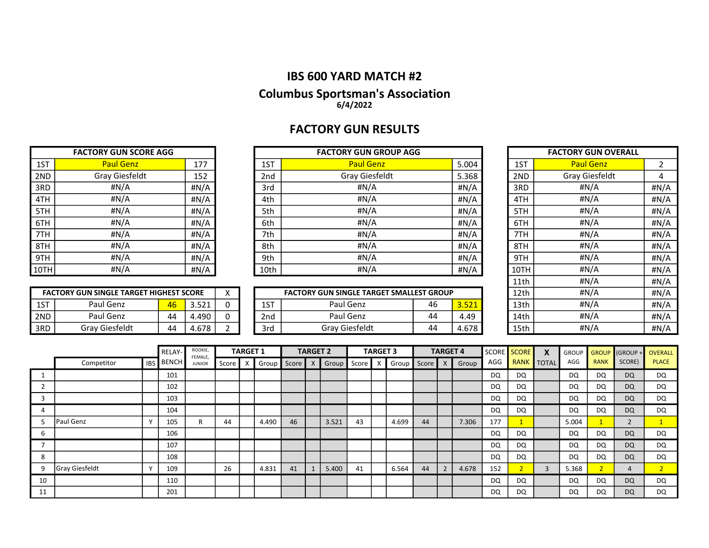## IBS 600 YARD MATCH #2

### Columbus Sportsman's Association 6/4/2022

# FACTORY GUN RESULTS

|      | <b>FACTORY GUN SCORE AGG</b> |         |
|------|------------------------------|---------|
| 1ST  | <b>Paul Genz</b>             | 177     |
| 2ND  | <b>Gray Giesfeldt</b>        | 152     |
| 3RD  | #N/A                         | # $N/A$ |
| 4TH  | #N/A                         | #N/A    |
| 5TH  | #N/A                         | # $N/A$ |
| 6TH  | #N/A                         | #N/A    |
| 7TH  | #N/A                         | # $N/A$ |
| 8TH  | #N/A                         | # $N/A$ |
| 9TH  | #N/A                         | #N/A    |
| 10TH | #N/A                         | #N/A    |

|      | <b>FACTORY GUN SCORE AGG</b> |      | <b>FACTORY GUN GROUP AGG</b> |      |                  |       |  |      | <b>FACTORY GUN OVERALL</b> |               |
|------|------------------------------|------|------------------------------|------|------------------|-------|--|------|----------------------------|---------------|
| 1ST  | <b>Paul Genz</b>             | 177  |                              | 1ST  | <b>Paul Genz</b> | 5.004 |  | 1ST  | <b>Paul Genz</b>           |               |
| 2ND  | Gray Giesfeldt               | 152  |                              | 2nd  | Gray Giesfeldt   | 5.368 |  | 2ND  | Gray Giesfeldt             | 4             |
| 3RD  | # $N/A$                      | #N/A |                              | 3rd  | #N/A             | #N/A  |  | 3RD  | #N/A                       | #N/A          |
| 4TH  | # $N/A$                      | #N/A |                              | 4th  | #N/A             | #N/A  |  | 4TH  | #N/A                       | #N/A          |
| 5TH  | #N/A                         | #N/A |                              | 5th  | #N/A             | #N/A  |  | 5TH  | #N/A                       | #N/A          |
| 6TH  | # $N/A$                      | #N/A |                              | 6th  | #N/A             | #N/A  |  | 6TH  | #N/A                       | H N/A         |
| 7TH  | # $N/A$                      | #N/A |                              | 7th  | #N/A             | #N/A  |  | 7TH  | #N/A                       | #N/A          |
| 8TH  | #N/A                         | #N/A |                              | 8th  | #N/A             | #N/A  |  | 8TH  | #N/A                       | #N/A          |
| 9TH  | # $N/A$                      | #N/A |                              | 9th  | #N/A             | #N/A  |  | 9TH  | #N/A                       | H N/A         |
| 10TH | # $N/A$                      | #N/A |                              | 10th | #N/A             | #N/A  |  | 10TH | H N/A                      | #N/A          |
|      |                              |      |                              |      |                  |       |  |      |                            | $\sim$ $\sim$ |

|      | <b>FACTORY GUN SCORE AGG</b>                   |    |       |          |      | <b>FACTORY GUN GROUP AGG</b>                    |    |       |  |      | <b>FACTORY GUN OVERALL</b> |      |
|------|------------------------------------------------|----|-------|----------|------|-------------------------------------------------|----|-------|--|------|----------------------------|------|
| 1ST  | <b>Paul Genz</b>                               |    | 177   |          | 1ST  | <b>Paul Genz</b>                                |    | 5.004 |  | 1ST  | <b>Paul Genz</b>           | 2    |
| 2ND  | Gray Giesfeldt                                 |    | 152   |          | 2nd  | Gray Giesfeldt<br>5.368                         |    |       |  |      | Gray Giesfeldt             | 4    |
| 3RD  | #N/A                                           |    | #N/A  |          | 3rd  | #N/A<br>#N/A                                    |    |       |  |      | #N/A                       | #N/A |
| 4TH  | #N/A                                           |    | #N/A  |          | 4th  | #N/A                                            |    | #N/A  |  | 4TH  | #N/A                       | #N/A |
| 5TH  | H N/A                                          |    | #N/A  |          | 5th  | #N/A                                            |    | #N/A  |  | 5TH  | #N/A                       | #N/A |
| 6TH  | #N/A                                           |    | #N/A  |          | 6th  | #N/A                                            |    | #N/A  |  | 6TH  | #N/A                       | #N/A |
| 7TH  | #N/A                                           |    | #N/A  |          | 7th  | #N/A<br>#N/A                                    |    |       |  |      | #N/A                       | #N/A |
| 8TH  | #N/A                                           |    | #N/A  |          | 8th  | #N/A                                            |    | #N/A  |  | 8TH  | #N/A                       | #N/A |
| 9TH  | #N/A                                           |    | #N/A  |          | 9th  | #N/A                                            |    | #N/A  |  | 9TH  | #N/A                       | #N/A |
| 10TH | #N/A                                           |    | #N/A  |          | 10th | #N/A                                            |    | #N/A  |  | 10TH | #N/A                       | #N/A |
|      |                                                |    |       |          |      |                                                 |    |       |  | 11th | #N/A                       | #N/A |
|      | <b>FACTORY GUN SINGLE TARGET HIGHEST SCORE</b> |    |       | X        |      | <b>FACTORY GUN SINGLE TARGET SMALLEST GROUP</b> |    |       |  | 12th | H N/A                      | #N/A |
| 1ST  | Paul Genz                                      | 46 | 3.521 | $\Omega$ | 1ST  | Paul Genz                                       | 46 | 3.521 |  | 13th | #N/A                       | #N/A |
| 2ND  | Paul Genz                                      | 44 | 4.490 | 0        | 2nd  | Paul Genz                                       | 44 | 4.49  |  | 14th | #N/A                       | #N/A |
| 3RD  | Gray Giesfeldt                                 | 44 | 4.678 |          | 3rd  | Gray Giesfeldt                                  | 44 | 4.678 |  | 15th | #N/A                       | #N/A |

|        |                       |            | <b>RELAY-</b> | ROOKIE,<br>FEMALE, |       | <b>TARGET 1</b> |       |       | <b>TARGET 2</b> |       |       | <b>TARGET 3</b> |       |       | <b>TARGET 4</b> |       | SCORE | SCORE       | X              | <b>GROUP</b> |                | GROUP (GROUP + | <b>OVERALL</b>           |
|--------|-----------------------|------------|---------------|--------------------|-------|-----------------|-------|-------|-----------------|-------|-------|-----------------|-------|-------|-----------------|-------|-------|-------------|----------------|--------------|----------------|----------------|--------------------------|
|        | Competitor            | <b>IBS</b> | <b>BENCH</b>  | <b>JUNIOR</b>      | Score |                 | Group | Score |                 | Group | Score | X               | Group | Score |                 | Group | AGG   | <b>RANK</b> | <b>TOTAL</b>   | AGG          | <b>RANK</b>    | SCORE)         | <b>PLACE</b>             |
|        |                       |            | 101           |                    |       |                 |       |       |                 |       |       |                 |       |       |                 |       | DQ    | DQ          |                | DQ           | DQ             | <b>DQ</b>      | DQ                       |
|        |                       |            | 102           |                    |       |                 |       |       |                 |       |       |                 |       |       |                 |       | DQ    | DQ          |                | DQ           | <b>DQ</b>      | <b>DQ</b>      | DQ                       |
| ∍      |                       |            | 103           |                    |       |                 |       |       |                 |       |       |                 |       |       |                 |       | DQ    | DQ          |                | DQ           | <b>DQ</b>      | <b>DQ</b>      | DQ                       |
|        |                       |            | 104           |                    |       |                 |       |       |                 |       |       |                 |       |       |                 |       | DQ    | DQ          |                | DQ           | <b>DQ</b>      | <b>DQ</b>      | DQ.                      |
|        | Paul Genz             |            | 105           | R                  | 44    |                 | 4.490 | 46    |                 | 3.521 | 43    |                 | 4.699 | 44    |                 | 7.306 | 177   |             |                | 5.004        |                |                |                          |
| b      |                       |            | 106           |                    |       |                 |       |       |                 |       |       |                 |       |       |                 |       | DQ    | DQ          |                | DQ           | <b>DQ</b>      | <b>DQ</b>      | DQ                       |
|        |                       |            | 107           |                    |       |                 |       |       |                 |       |       |                 |       |       |                 |       | DQ    | DQ          |                | DQ           | <b>DQ</b>      | <b>DQ</b>      | DQ                       |
| ິ<br>٥ |                       |            | 108           |                    |       |                 |       |       |                 |       |       |                 |       |       |                 |       | DQ    | DQ          |                | DQ           | <b>DQ</b>      | <b>DQ</b>      | DQ                       |
| q      | <b>Gray Giesfeldt</b> |            | 109           |                    | 26    |                 | 4.831 | 41    |                 | 5.400 | 41    |                 | 6.564 | 44    | $\epsilon$      | 4.678 | 152   |             | $\overline{3}$ | 5.368        | $\overline{2}$ | 4              | $\overline{\phantom{0}}$ |
| 10     |                       |            | 110           |                    |       |                 |       |       |                 |       |       |                 |       |       |                 |       | DQ    | DQ          |                | DQ           | <b>DQ</b>      | <b>DQ</b>      | <b>DQ</b>                |
| 11     |                       |            | 201           |                    |       |                 |       |       |                 |       |       |                 |       |       |                 |       | DQ    | DQ          |                | DQ           | DQ             | <b>DQ</b>      | DQ                       |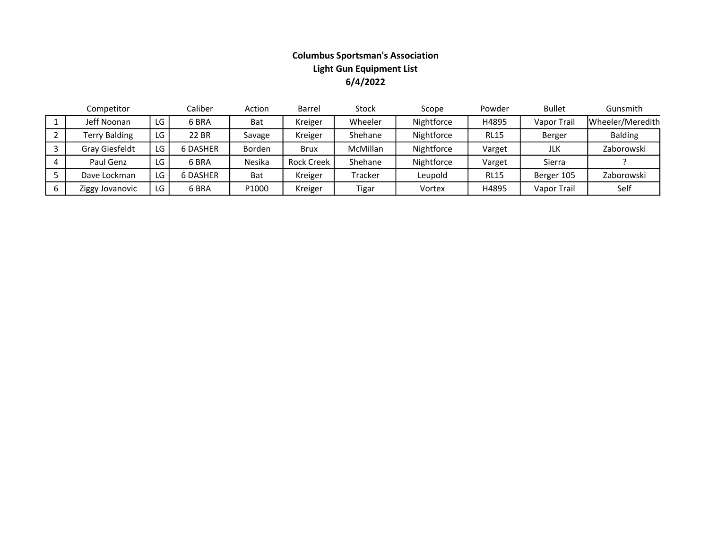## Columbus Sportsman's Association Light Gun Equipment List 6/4/2022

| Competitor           |     | Caliber         | Action     | Barrel            | Stock    | Scope      | Powder      | <b>Bullet</b>      | Gunsmith         |
|----------------------|-----|-----------------|------------|-------------------|----------|------------|-------------|--------------------|------------------|
| Jeff Noonan          | LG. | 6 BRA           | <b>Bat</b> | Kreiger           | Wheeler  | Nightforce | H4895       | <b>Vapor Trail</b> | Wheeler/Meredith |
| <b>Terry Balding</b> | LG  | 22 BR           | Savage     | Kreiger           | Shehane  | Nightforce | <b>RL15</b> | Berger             | <b>Balding</b>   |
| Gray Giesfeldt       | LG  | <b>6 DASHER</b> | Borden     | <b>Brux</b>       | McMillan | Nightforce | Varget      | JLK                | Zaborowski       |
| Paul Genz            | LG  | 6 BRA           | Nesika     | <b>Rock Creek</b> | Shehane  | Nightforce | Varget      | Sierra             |                  |
| Dave Lockman         | LG  | <b>6 DASHER</b> | <b>Bat</b> | Kreiger           | Tracker  | Leupold    | <b>RL15</b> | Berger 105         | Zaborowski       |
| Ziggy Jovanovic      | LG  | 6 BRA           | P1000      | Kreiger           | Tigar    | Vortex     | H4895       | Vapor Trail        | Self             |